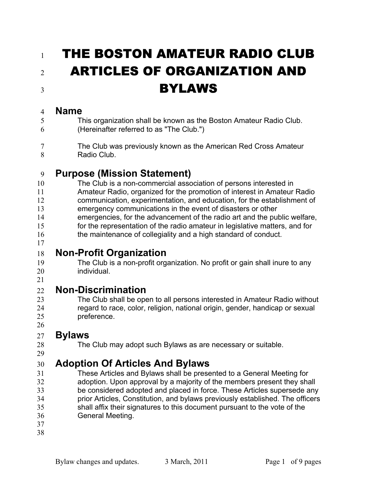# 1 THE BOSTON AMATEUR RADIO CLUB 2 ARTICLES OF ORGANIZATION AND **BYLAWS**

#### **Name**

- This organization shall be known as the Boston Amateur Radio Club.
- (Hereinafter referred to as "The Club.")
- The Club was previously known as the American Red Cross Amateur 8 Radio Club.

### **Purpose (Mission Statement)**

- The Club is a non-commercial association of persons interested in
- Amateur Radio, organized for the promotion of interest in Amateur Radio communication, experimentation, and education, for the establishment of
- emergency communications in the event of disasters or other
- emergencies, for the advancement of the radio art and the public welfare,
- for the representation of the radio amateur in legislative matters, and for
- the maintenance of collegiality and a high standard of conduct.
- **Non-Profit Organization**
- The Club is a non-profit organization. No profit or gain shall inure to any individual.
- 

# **Non-Discrimination**

The Club shall be open to all persons interested in Amateur Radio without regard to race, color, religion, national origin, gender, handicap or sexual preference.

#### **Bylaws**

The Club may adopt such Bylaws as are necessary or suitable.

# **Adoption Of Articles And Bylaws**

- These Articles and Bylaws shall be presented to a General Meeting for adoption. Upon approval by a majority of the members present they shall be considered adopted and placed in force. These Articles supersede any prior Articles, Constitution, and bylaws previously established. The officers shall affix their signatures to this document pursuant to the vote of the General Meeting.
- 
-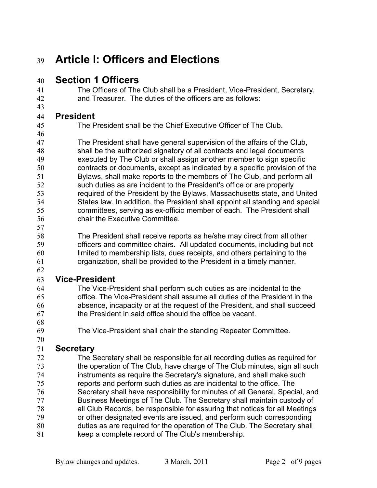# **Article I: Officers and Elections**

#### **Section 1 Officers**

The Officers of The Club shall be a President, Vice-President, Secretary, and Treasurer. The duties of the officers are as follows:

#### **President**

The President shall be the Chief Executive Officer of The Club.

The President shall have general supervision of the affairs of the Club, shall be the authorized signatory of all contracts and legal documents executed by The Club or shall assign another member to sign specific contracts or documents, except as indicated by a specific provision of the Bylaws, shall make reports to the members of The Club, and perform all such duties as are incident to the President's office or are properly required of the President by the Bylaws, Massachusetts state, and United States law. In addition, the President shall appoint all standing and special committees, serving as ex-officio member of each. The President shall chair the Executive Committee.

58 The President shall receive reports as he/she may direct from all other<br>59 officers and committee chairs. All undated documents including but no officers and committee chairs. All updated documents, including but not limited to membership lists, dues receipts, and others pertaining to the organization, shall be provided to the President in a timely manner.

#### **Vice-President**

The Vice-President shall perform such duties as are incidental to the office. The Vice-President shall assume all duties of the President in the absence, incapacity or at the request of the President, and shall succeed the President in said office should the office be vacant.

The Vice-President shall chair the standing Repeater Committee.

#### **Secretary**

The Secretary shall be responsible for all recording duties as required for the operation of The Club, have charge of The Club minutes, sign all such instruments as require the Secretary's signature, and shall make such reports and perform such duties as are incidental to the office. The Secretary shall have responsibility for minutes of all General, Special, and Business Meetings of The Club. The Secretary shall maintain custody of all Club Records, be responsible for assuring that notices for all Meetings or other designated events are issued, and perform such corresponding duties as are required for the operation of The Club. The Secretary shall keep a complete record of The Club's membership.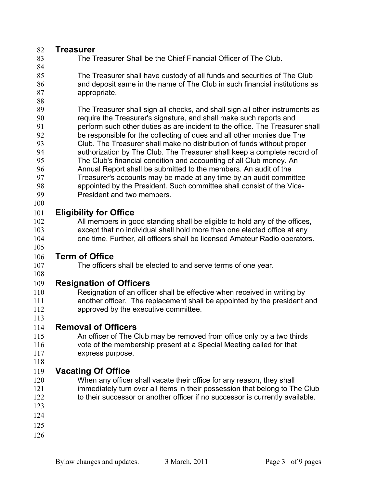#### **Treasurer**

- The Treasurer Shall be the Chief Financial Officer of The Club.
- The Treasurer shall have custody of all funds and securities of The Club and deposit same in the name of The Club in such financial institutions as appropriate.
- 

- The Treasurer shall sign all checks, and shall sign all other instruments as require the Treasurer's signature, and shall make such reports and perform such other duties as are incident to the office. The Treasurer shall be responsible for the collecting of dues and all other monies due The Club. The Treasurer shall make no distribution of funds without proper authorization by The Club. The Treasurer shall keep a complete record of The Club's financial condition and accounting of all Club money. An Annual Report shall be submitted to the members. An audit of the Treasurer's accounts may be made at any time by an audit committee appointed by the President. Such committee shall consist of the Vice-
- President and two members.

#### **Eligibility for Office**

All members in good standing shall be eligible to hold any of the offices, except that no individual shall hold more than one elected office at any one time. Further, all officers shall be licensed Amateur Radio operators.

#### **Term of Office**

#### The officers shall be elected to and serve terms of one year.

**Resignation of Officers** 

- Resignation of an officer shall be effective when received in writing by another officer. The replacement shall be appointed by the president and approved by the executive committee.
- 

#### **Removal of Officers**

- An officer of The Club may be removed from office only by a two thirds vote of the membership present at a Special Meeting called for that express purpose.
- 

#### **Vacating Of Office**

- 120 When any officer shall vacate their office for any reason, they shall immediately turn over all items in their possession that belong to The Club 122 to their successor or another officer if no successor is currently available.
- 
- 
-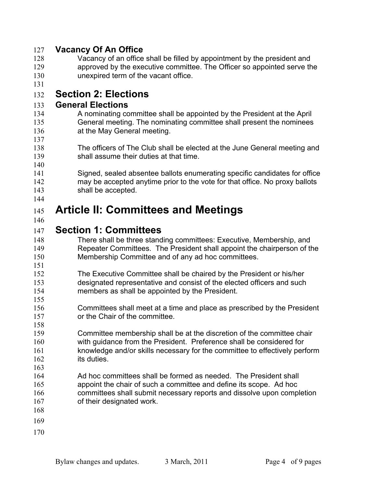#### **Vacancy Of An Office**

- Vacancy of an office shall be filled by appointment by the president and approved by the executive committee. The Officer so appointed serve the unexpired term of the vacant office.
- 

#### **Section 2: Elections**

#### **General Elections**

- A nominating committee shall be appointed by the President at the April General meeting. The nominating committee shall present the nominees **at the May General meeting.**
- The officers of The Club shall be elected at the June General meeting and shall assume their duties at that time.
- Signed, sealed absentee ballots enumerating specific candidates for office may be accepted anytime prior to the vote for that office. No proxy ballots shall be accepted.
- 

#### **Article II: Committees and Meetings**

#### **Section 1: Committees**

- There shall be three standing committees: Executive, Membership, and Repeater Committees. The President shall appoint the chairperson of the Membership Committee and of any ad hoc committees.
- The Executive Committee shall be chaired by the President or his/her designated representative and consist of the elected officers and such members as shall be appointed by the President.
- Committees shall meet at a time and place as prescribed by the President or the Chair of the committee.
- Committee membership shall be at the discretion of the committee chair with guidance from the President. Preference shall be considered for knowledge and/or skills necessary for the committee to effectively perform its duties.
- Ad hoc committees shall be formed as needed. The President shall appoint the chair of such a committee and define its scope. Ad hoc committees shall submit necessary reports and dissolve upon completion of their designated work.
- 

- 
-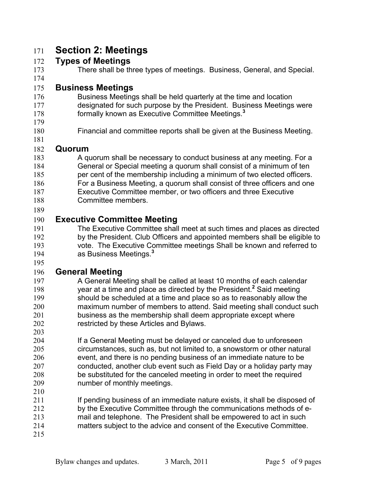### **Section 2: Meetings**

#### **Types of Meetings**

There shall be three types of meetings. Business, General, and Special. 

#### **Business Meetings**

- Business Meetings shall be held quarterly at the time and location designated for such purpose by the President. Business Meetings were formally known as Executive Committee Meetings.**<sup>3</sup>**
- 
- Financial and committee reports shall be given at the Business Meeting.

#### **Quorum**

- 183 A quorum shall be necessary to conduct business at any meeting. For a General or Special meeting a quorum shall consist of a minimum of ten per cent of the membership including a minimum of two elected officers. For a Business Meeting, a quorum shall consist of three officers and one Executive Committee member, or two officers and three Executive Committee members.
- 

#### **Executive Committee Meeting**

The Executive Committee shall meet at such times and places as directed by the President. Club Officers and appointed members shall be eligible to vote. The Executive Committee meetings Shall be known and referred to as Business Meetings.**<sup>3</sup>**

#### 

#### **General Meeting**

- A General Meeting shall be called at least 10 months of each calendar 198 vear at a time and place as directed by the President.<sup>2</sup> Said meeting should be scheduled at a time and place so as to reasonably allow the maximum number of members to attend. Said meeting shall conduct such business as the membership shall deem appropriate except where restricted by these Articles and Bylaws.
- If a General Meeting must be delayed or canceled due to unforeseen circumstances, such as, but not limited to, a snowstorm or other natural event, and there is no pending business of an immediate nature to be conducted, another club event such as Field Day or a holiday party may be substituted for the canceled meeting in order to meet the required number of monthly meetings.
- 
- **If pending business of an immediate nature exists, it shall be disposed of** by the Executive Committee through the communications methods of e-
- mail and telephone. The President shall be empowered to act in such
- matters subject to the advice and consent of the Executive Committee.
-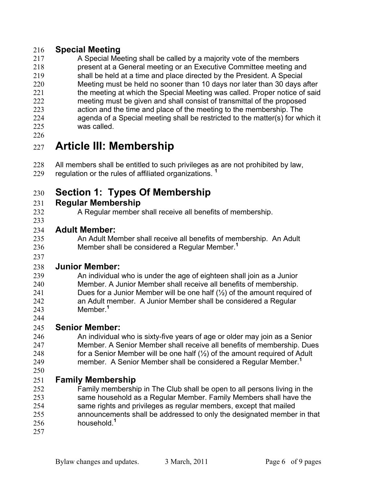#### **Special Meeting**

- A Special Meeting shall be called by a majority vote of the members
- present at a General meeting or an Executive Committee meeting and
- shall be held at a time and place directed by the President. A Special Meeting must be held no sooner than 10 days nor later than 30 days after
- 221 the meeting at which the Special Meeting was called. Proper notice of said
- meeting must be given and shall consist of transmittal of the proposed action and the time and place of the meeting to the membership. The
- agenda of a Special meeting shall be restricted to the matter(s) for which it was called.
- 

# **Article III: Membership**

All members shall be entitled to such privileges as are not prohibited by law, regulation or the rules of affiliated organizations. **<sup>1</sup>**

# **Section 1: Types Of Membership**

#### **Regular Membership**

- 
- A Regular member shall receive all benefits of membership.

#### **Adult Member:**

- An Adult Member shall receive all benefits of membership. An Adult Member shall be considered a Regular Member.**<sup>1</sup>**
- 

#### **Junior Member:**

- An individual who is under the age of eighteen shall join as a Junior Member. A Junior Member shall receive all benefits of membership. 241 Dues for a Junior Member will be one half  $(\frac{1}{2})$  of the amount required of an Adult member. A Junior Member shall be considered a Regular Member.**<sup>1</sup>**
- 

#### **Senior Member:**

An individual who is sixty-five years of age or older may join as a Senior Member. A Senior Member shall receive all benefits of membership. Dues 248 for a Senior Member will be one half  $(\frac{1}{2})$  of the amount required of Adult member. A Senior Member shall be considered a Regular Member.**<sup>1</sup>** 

#### **Family Membership**

- Family membership in The Club shall be open to all persons living in the same household as a Regular Member. Family Members shall have the same rights and privileges as regular members, except that mailed announcements shall be addressed to only the designated member in that household.**<sup>1</sup>**
-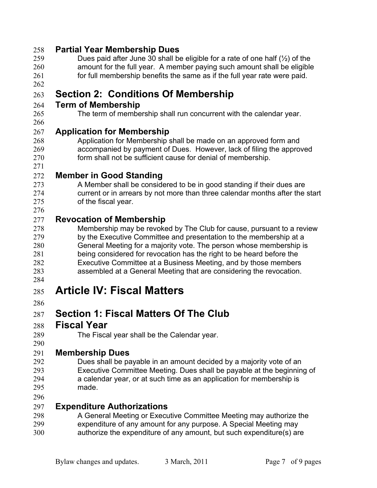#### **Partial Year Membership Dues**

- Dues paid after June 30 shall be eligible for a rate of one half (½) of the amount for the full year. A member paying such amount shall be eligible 261 for full membership benefits the same as if the full year rate were paid.
- 

### **Section 2: Conditions Of Membership**

#### **Term of Membership**

#### The term of membership shall run concurrent with the calendar year.

#### **Application for Membership**

Application for Membership shall be made on an approved form and accompanied by payment of Dues. However, lack of filing the approved form shall not be sufficient cause for denial of membership.

#### **Member in Good Standing**

273 A Member shall be considered to be in good standing if their dues are current or in arrears by not more than three calendar months after the start of the fiscal year.

#### **Revocation of Membership**

- Membership may be revoked by The Club for cause, pursuant to a review by the Executive Committee and presentation to the membership at a General Meeting for a majority vote. The person whose membership is being considered for revocation has the right to be heard before the Executive Committee at a Business Meeting, and by those members assembled at a General Meeting that are considering the revocation.
- 

# **Article IV: Fiscal Matters**

# **Section 1: Fiscal Matters Of The Club**

#### **Fiscal Year**

The Fiscal year shall be the Calendar year.

#### **Membership Dues**

Dues shall be payable in an amount decided by a majority vote of an Executive Committee Meeting. Dues shall be payable at the beginning of a calendar year, or at such time as an application for membership is made.

#### **Expenditure Authorizations**

- A General Meeting or Executive Committee Meeting may authorize the expenditure of any amount for any purpose. A Special Meeting may
- authorize the expenditure of any amount, but such expenditure(s) are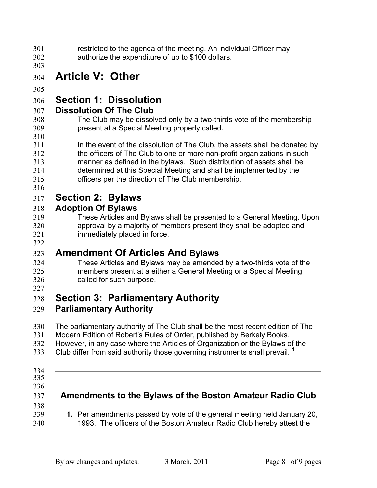restricted to the agenda of the meeting. An individual Officer may authorize the expenditure of up to \$100 dollars.

# **Article V: Other**

#### 

# **Section 1: Dissolution**

#### **Dissolution Of The Club**

- The Club may be dissolved only by a two-thirds vote of the membership present at a Special Meeting properly called.
- In the event of the dissolution of The Club, the assets shall be donated by the officers of The Club to one or more non-profit organizations in such manner as defined in the bylaws. Such distribution of assets shall be determined at this Special Meeting and shall be implemented by the officers per the direction of The Club membership.
- 

# **Section 2: Bylaws**

#### **Adoption Of Bylaws**

These Articles and Bylaws shall be presented to a General Meeting. Upon approval by a majority of members present they shall be adopted and immediately placed in force.

# **Amendment Of Articles And Bylaws**

- These Articles and Bylaws may be amended by a two-thirds vote of the members present at a either a General Meeting or a Special Meeting called for such purpose.
- 

# **Section 3: Parliamentary Authority**

#### **Parliamentary Authority**

- The parliamentary authority of The Club shall be the most recent edition of The
- Modern Edition of Robert's Rules of Order, published by Berkely Books.
- However, in any case where the Articles of Organization or the Bylaws of the
- Club differ from said authority those governing instruments shall prevail. **<sup>1</sup>**
- 
- 
- 

#### **Amendments to the Bylaws of the Boston Amateur Radio Club**

 **1.** Per amendments passed by vote of the general meeting held January 20, 1993. The officers of the Boston Amateur Radio Club hereby attest the